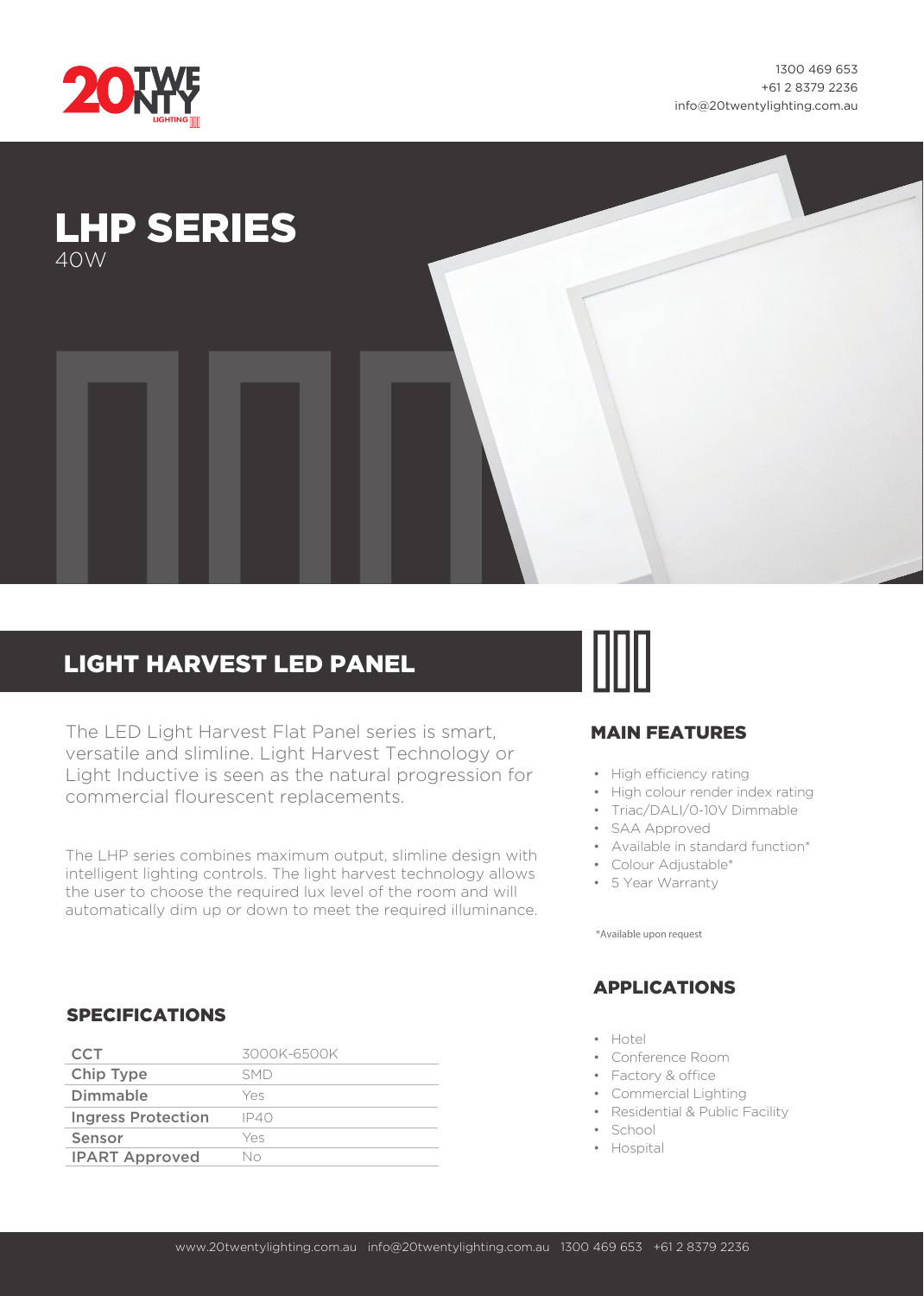

1300 469 653 +61 2 8379 2236 info@20twentylighting.com.au



# LIGHT HARVEST LED PANEL

The LED Light Harvest Flat Panel series is smart, versatile and slimline. Light Harvest Technology or Light Inductive is seen as the natural progression for commercial flourescent replacements.

The LHP series combines maximum output, slimline design with intelligent lighting controls. The light harvest technology allows the user to choose the required lux level of the room and will automatically dim up or down to meet the required illuminance.



#### MAIN FEATURES

- High efficiency rating
- High colour render index rating
- Triac/DALI/0-10V Dimmable
- SAA Approved
- Available in standard function\*
- Colour Adjustable\*
- 5 Year Warranty

\*Available upon request

#### APPLICATIONS

- Hotel
- Conference Room
- Factory & office
- Commercial Lighting
- Residential & Public Facility
- School
- Hospital

#### SPECIFICATIONS

| CCT                       | 3000K-6500K |
|---------------------------|-------------|
| Chip Type                 | <b>SMD</b>  |
| Dimmable                  | Yes         |
| <b>Ingress Protection</b> | IP40        |
| Sensor                    | Yes         |
| <b>IPART Approved</b>     | Nο          |